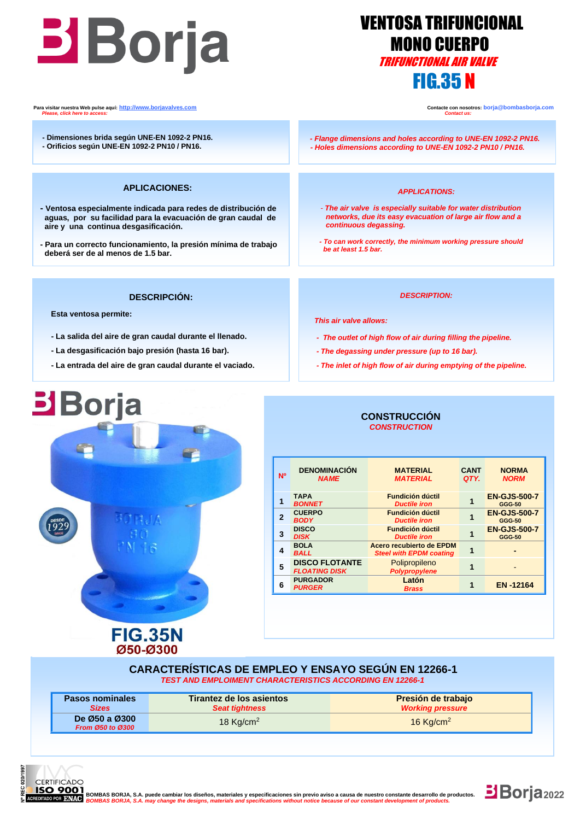# TRIFUNCTIONAL AIR VALVE

## VENTOSA TRIFUNCIONAL **MONO CUERPO** FIG.35 N

**Para visitar nuestra Web pulse aquí:** <u>http://www.borjavalves.com</u> **Contacte con nosotros: borja** @bombasborja.com **Contacte con nosotros: borja** @bombasborja.com **Please. click here to access:**  *Please, click here to access: Contact us:*

- **- Dimensiones brida según UNE-EN 1092-2 PN16.**
- **- Orificios según UNE-EN 1092-2 PN10 / PN16.**

#### **APLICACIONES:**

- **- Ventosa especialmente indicada para redes de distribución de aguas, por su facilidad para la evacuación de gran caudal de aire y una continua desgasificación.**
- **- Para un correcto funcionamiento, la presión mínima de trabajo deberá ser de al menos de 1.5 bar.**

 *- Flange dimensions and holes according to UNE-EN 1092-2 PN16. - Holes dimensions according to UNE-EN 1092-2 PN10 / PN16.* 

#### *APPLICATIONS:*

- *- The air valve is especially suitable for water distribution networks, due its easy evacuation of large air flow and a continuous degassing.*
- *- To can work correctly, the minimum working pressure should be at least 1.5 bar.*

#### **DESCRIPCIÓN:**

 **Esta ventosa permite:**

**Borja** 

j

- **- La salida del aire de gran caudal durante el llenado.**
- **- La desgasificación bajo presión (hasta 16 bar).**
- **- La entrada del aire de gran caudal durante el vaciado.**

**FIG.35N** Ø50-Ø300

#### *DESCRIPTION:*

 *This air valve allows:*

- *- The outlet of high flow of air during filling the pipeline.*
- *- The degassing under pressure (up to 16 bar).*
- *- The inlet of high flow of air during emptying of the pipeline.*

## **CONSTRUCCIÓN**  *CONSTRUCTION*

| N <sup>o</sup> | <b>DENOMINACIÓN</b><br><b>NAME</b>            | <b>MATERIAL</b><br><b>MATERIAL</b>                         | <b>CANT</b><br>QTY. | <b>NORMA</b><br><b>NORM</b>          |
|----------------|-----------------------------------------------|------------------------------------------------------------|---------------------|--------------------------------------|
|                | <b>TAPA</b><br><b>BONNET</b>                  | <b>Fundición dúctil</b><br><b>Ductile iron</b>             |                     | <b>EN-GJS-500-7</b><br><b>GGG-50</b> |
| 2              | <b>CUERPO</b><br><b>BODY</b>                  | <b>Fundición dúctil</b><br><b>Ductile iron</b>             |                     | <b>EN-GJS-500-7</b><br><b>GGG-50</b> |
| 3              | <b>DISCO</b><br><b>DISK</b>                   | <b>Fundición dúctil</b><br><b>Ductile iron</b>             |                     | <b>EN-GJS-500-7</b><br><b>GGG-50</b> |
|                | <b>BOLA</b><br><b>BALL</b>                    | Acero recubierto de EPDM<br><b>Steel with EPDM coating</b> |                     |                                      |
| 5              | <b>DISCO FLOTANTE</b><br><b>FLOATING DISK</b> | Polipropileno<br>Polypropylene                             |                     |                                      |
| 6              | <b>PURGADOR</b><br><b>PURGER</b>              | Latón<br><b>Brass</b>                                      |                     | <b>EN-12164</b>                      |

#### **CARACTERÍSTICAS DE EMPLEO Y ENSAYO SEGÚN EN 12266-1** *TEST AND EMPLOIMENT CHARACTERISTICS ACCORDING EN 12266-1*

| <b>Pasos nominales</b>            | Tirantez de los asientos | Presión de trabajo      |
|-----------------------------------|--------------------------|-------------------------|
| <b>Sizes</b>                      | <b>Seat tightness</b>    | <b>Working pressure</b> |
| De Ø50 a Ø300<br>From Ø50 to Ø300 | 18 $Kq/cm2$              | 16 Kg/cm <sup>2</sup>   |